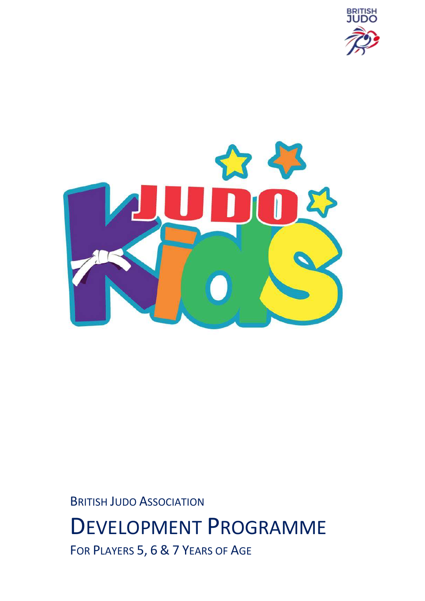



BRITISH JUDO ASSOCIATION

# DEVELOPMENT PROGRAMME

FOR PLAYERS 5, 6 & 7 YEARS OF AGE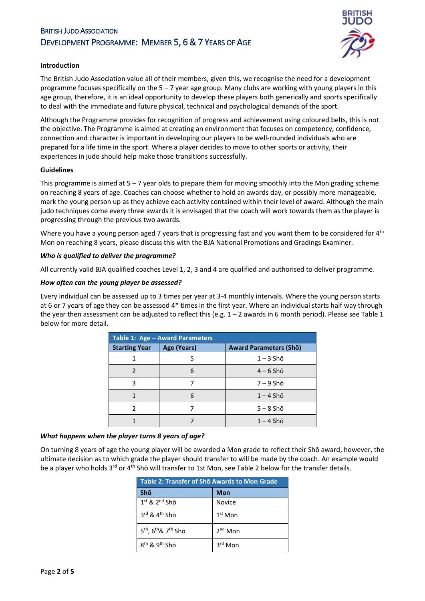## BRITISH JUDO ASSOCIATION DEVELOPMENT PROGRAMME: MEMBER 5, 6 & 7 YEARS OF AGE



## **Introduction**

The British Judo Association value all of their members, given this, we recognise the need for a development programme focuses specifically on the  $5 - 7$  year age group. Many clubs are working with young players in this age group, therefore, it is an ideal opportunity to develop these players both generically and sports specifically to deal with the immediate and future physical, technical and psychological demands of the sport.

Although the Programme provides for recognition of progress and achievement using coloured belts, this is not the objective. The Programme is aimed at creating an environment that focuses on competency, confidence, connection and character is important in developing our players to be well-rounded individuals who are prepared for a life time in the sport. Where a player decides to move to other sports or activity, their experiences in judo should help make those transitions successfully.

### **Guidelines**

This programme is aimed at 5 – 7 year olds to prepare them for moving smoothly into the Mon grading scheme on reaching 8 years of age. Coaches can choose whether to hold an awards day, or possibly more manageable, mark the young person up as they achieve each activity contained within their level of award. Although the main judo techniques come every three awards it is envisaged that the coach will work towards them as the player is progressing through the previous two awards.

Where you have a young person aged 7 years that is progressing fast and you want them to be considered for 4<sup>th</sup> Mon on reaching 8 years, please discuss this with the BJA National Promotions and Gradings Examiner.

### *Who is qualified to deliver the programme?*

All currently valid BJA qualified coaches Level 1, 2, 3 and 4 are qualified and authorised to deliver programme.

### *How often can the young player be assessed?*

Every individual can be assessed up to 3 times per year at 3-4 monthly intervals. Where the young person starts at 6 or 7 years of age they can be assessed 4\* times in the first year. Where an individual starts half way through the year then assessment can be adjusted to reflect this (e.g.  $1 - 2$  awards in 6 month period). Please see Table 1 below for more detail.

| Table 1: Age - Award Parameters |             |                               |  |  |
|---------------------------------|-------------|-------------------------------|--|--|
| <b>Starting Year</b>            | Age (Years) | <b>Award Parameters (Shō)</b> |  |  |
|                                 | 5           | $1 - 3$ Shō                   |  |  |
| 2                               | 6           | $4-6$ Shō                     |  |  |
| ς                               |             | $7 - 9$ Shō                   |  |  |
|                                 | 6           | $1 - 4$ Shō                   |  |  |
| $\mathcal{P}$                   |             | $5 - 8$ Shō                   |  |  |
|                                 |             | $1 - 4$ Shō                   |  |  |

## *What happens when the player turns 8 years of age?*

On turning 8 years of age the young player will be awarded a Mon grade to reflect their Shō award, however, the ultimate decision as to which grade the player should transfer to will be made by the coach. An example would be a player who holds 3<sup>rd</sup> or 4<sup>th</sup> Shō will transfer to 1st Mon, see Table 2 below for the transfer details.

| Table 2: Transfer of Sho Awards to Mon Grade            |                     |  |  |
|---------------------------------------------------------|---------------------|--|--|
| Shō                                                     | <b>Mon</b>          |  |  |
| $1st$ & $2nd$ Shō                                       | Novice              |  |  |
| $3^{\text{rd}}$ & $4^{\text{th}}$ Sho                   | $1st$ Mon           |  |  |
| 5 <sup>th</sup> , 6 <sup>th</sup> & 7 <sup>th</sup> Shō | 2 <sup>nd</sup> Mon |  |  |
| 8 <sup>th</sup> & 9 <sup>th</sup> Shō                   | $3rd$ Mon           |  |  |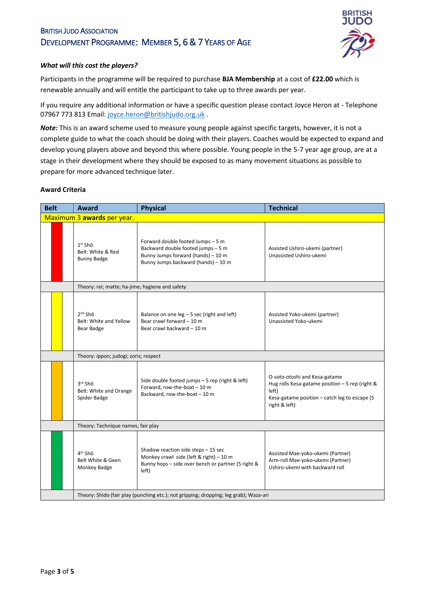## BRITISH JUDO ASSOCIATION DEVELOPMENT PROGRAMME: MEMBER 5, 6 & 7 YEARS OF AGE



## *What will this cost the players?*

Participants in the programme will be required to purchase **BJA Membership** at a cost of **£22.00** which is renewable annually and will entitle the participant to take up to three awards per year.

If you require any additional information or have a specific question please contact Joyce Heron at - Telephone 07967 773 813 Email: [joyce.heron@britishjudo.org.uk](mailto:joyce.heron@britishjudo.org.uk) .

*Note:* This is an award scheme used to measure young people against specific targets, however, it is not a complete guide to what the coach should be doing with their players. Coaches would be expected to expand and develop young players above and beyond this where possible. Young people in the 5-7 year age group, are at a stage in their development where they should be exposed to as many movement situations as possible to prepare for more advanced technique later.

### **Award Criteria**

| <b>Belt</b> | Award                                                                                 | <b>Physical</b>                                                                                                                                      | <b>Technical</b>                                                                                                                                            |  |
|-------------|---------------------------------------------------------------------------------------|------------------------------------------------------------------------------------------------------------------------------------------------------|-------------------------------------------------------------------------------------------------------------------------------------------------------------|--|
|             | Maximum 3 awards per year.                                                            |                                                                                                                                                      |                                                                                                                                                             |  |
|             | 1 <sup>st</sup> Shō<br>Belt: White & Red<br><b>Bunny Badge</b>                        | Forward double footed Jumps - 5 m<br>Backward double footed jumps - 5 m<br>Bunny Jumps forward (hands) - 10 m<br>Bunny Jumps backward (hands) - 10 m | Assisted Ushiro-ukemi (partner)<br>Unassisted Ushiro-ukemi                                                                                                  |  |
|             | Theory: rei; matte; ha-jime; hygiene and safety                                       |                                                                                                                                                      |                                                                                                                                                             |  |
|             | 2 <sup>nd</sup> Shō<br>Belt: White and Yellow<br>Bear Badge                           | Balance on one $leg - 5 sec$ (right and left)<br>Bear crawl forward - 10 m<br>Bear crawl backward - 10 m                                             | Assisted Yoko-ukemi (partner)<br>Unassisted Yoko-ukemi                                                                                                      |  |
|             | Theory: ippon; judogi; zoris; respect                                                 |                                                                                                                                                      |                                                                                                                                                             |  |
|             | 3rd Shō<br>Belt: White and Orange<br>Spider Badge                                     | Side double footed jumps - 5 rep (right & left)<br>Forward, row-the-boat - 10 m<br>Backward, row-the-boat - 10 m                                     | O-soto-otoshi and Kesa-gatame<br>Hug rolls Kesa-gatame position - 5 rep (right &<br>left)<br>Kesa-gatame position - catch leg to escape (5<br>right & left) |  |
|             | Theory: Technique names; fair play                                                    |                                                                                                                                                      |                                                                                                                                                             |  |
|             | $4th$ Sho<br>Belt White & Geen<br>Monkey Badge                                        | Shadow reaction side steps - 15 sec<br>Monkey crawl side (left & right) $-10$ m<br>Bunny hops - side over bench or partner (5 right &<br>left)       | Assisted Mae-yoko-ukemi (Partner)<br>Arm-roll Mae-yoko-ukemi (Partner)<br>Ushiro-ukemi with backward roll                                                   |  |
|             | Theory: Shido (fair play (punching etc.); not gripping; dropping; leg grab); Waza-ari |                                                                                                                                                      |                                                                                                                                                             |  |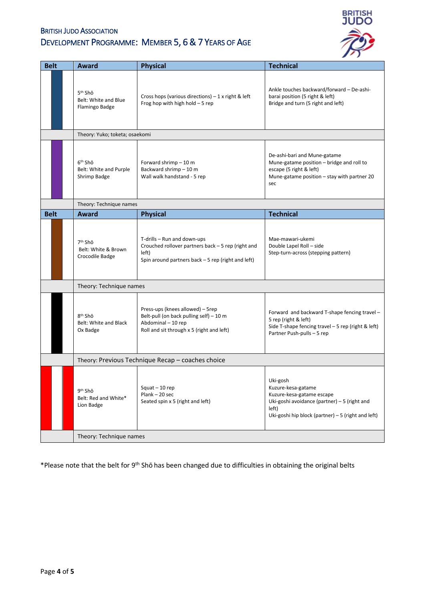## **BRITISH JUDO ASSOCIATION** DEVELOPMENT PROGRAMME: MEMBER 5, 6 & 7 YEARS OF AGE



| <b>Belt</b> | <b>Award</b>                                                  | <b>Physical</b>                                                                                                                                  | <b>Technical</b>                                                                                                                                                             |
|-------------|---------------------------------------------------------------|--------------------------------------------------------------------------------------------------------------------------------------------------|------------------------------------------------------------------------------------------------------------------------------------------------------------------------------|
|             | 5 <sup>th</sup> Shō<br>Belt: White and Blue<br>Flamingo Badge | Cross hops (various directions) $-1$ x right & left<br>Frog hop with high hold $-5$ rep                                                          | Ankle touches backward/forward - De-ashi-<br>barai position (5 right & left)<br>Bridge and turn (5 right and left)                                                           |
|             | Theory: Yuko; toketa; osaekomi                                |                                                                                                                                                  |                                                                                                                                                                              |
|             | 6 <sup>th</sup> Shō<br>Belt: White and Purple<br>Shrimp Badge | Forward shrimp $-10$ m<br>Backward shrimp - 10 m<br>Wall walk handstand - 5 rep                                                                  | De-ashi-bari and Mune-gatame<br>Mune-gatame position - bridge and roll to<br>escape (5 right & left)<br>Mune-gatame position - stay with partner 20<br>sec                   |
|             | Theory: Technique names                                       |                                                                                                                                                  |                                                                                                                                                                              |
| <b>Belt</b> | Award                                                         | <b>Physical</b>                                                                                                                                  | <b>Technical</b>                                                                                                                                                             |
|             | 7 <sup>th</sup> Shō<br>Belt: White & Brown<br>Crocodile Badge | T-drills - Run and down-ups<br>Crouched rollover partners back - 5 rep (right and<br>left)<br>Spin around partners back - 5 rep (right and left) | Mae-mawari-ukemi<br>Double Lapel Roll - side<br>Step-turn-across (stepping pattern)                                                                                          |
|             | Theory: Technique names                                       |                                                                                                                                                  |                                                                                                                                                                              |
|             | 8 <sup>th</sup> Shō<br>Belt: White and Black<br>Ox Badge      | Press-ups (knees allowed) - 5rep<br>Belt-pull (on back pulling self) - 10 m<br>Abdominal - 10 rep<br>Roll and sit through x 5 (right and left)   | Forward and backward T-shape fencing travel -<br>5 rep (right & left)<br>Side T-shape fencing travel - 5 rep (right & left)<br>Partner Push-pulls - 5 rep                    |
|             | Theory: Previous Technique Recap - coaches choice             |                                                                                                                                                  |                                                                                                                                                                              |
|             | 9 <sup>th</sup> Shō<br>Belt: Red and White*<br>Lion Badge     | Squat $-10$ rep<br>Plank - 20 sec<br>Seated spin x 5 (right and left)                                                                            | Uki-gosh<br>Kuzure-kesa-gatame<br>Kuzure-kesa-gatame escape<br>Uki-goshi avoidance (partner) $-5$ (right and<br>left)<br>Uki-goshi hip block (partner) $-5$ (right and left) |
|             | Theory: Technique names                                       |                                                                                                                                                  |                                                                                                                                                                              |

\*Please note that the belt for 9th Shō has been changed due to difficulties in obtaining the original belts